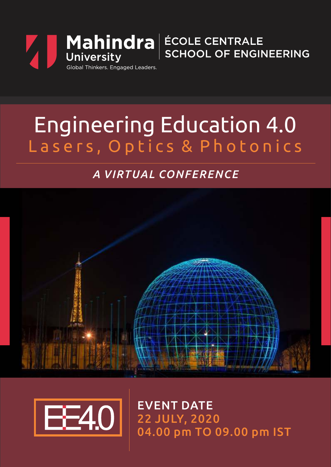

## Engineering Education 4.0 Lasers, Optics & Photonics

## *A VIRTUAL CONFERENCE*





EVENT DATE 22 JULY, 2020 04.00 pm TO 09.00 pm IST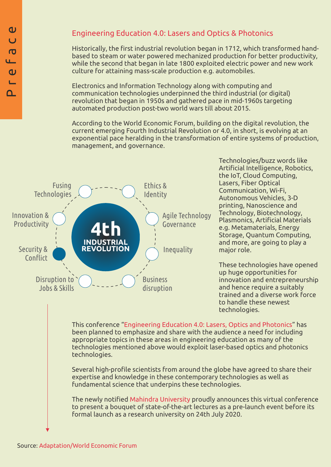#### Engineering Education 4.0: Lasers and Optics & Photonics

Historically, the first industrial revolution began in 1712, which transformed handbased to steam or water powered mechanized production for better productivity, while the second that began in late 1800 exploited electric power and new work culture for attaining mass-scale production e.g. automobiles.

Electronics and Information Technology along with computing and communication technologies underpinned the third industrial (or digital) revolution that began in 1950s and gathered pace in mid-1960s targeting automated production post-two world wars till about 2015.

According to the World Economic Forum, building on the digital revolution, the current emerging Fourth Industrial Revolution or 4.0, in short, is evolving at an exponential pace heralding in the transformation of entire systems of production, management, and governance.



Technologies/buzz words like Artificial Intelligence, Robotics, the IoT, Cloud Computing, Lasers, Fiber Optical Communication, Wi-Fi, Autonomous Vehicles, 3-D printing, Nanoscience and Technology, Biotechnology, Plasmonics, Artificial Materials e.g. Metamaterials, Energy Storage, Quantum Computing, and more, are going to play a major role.

These technologies have opened up huge opportunities for innovation and entrepreneurship and hence require a suitably trained and a diverse work force to handle these newest technologies.

This conference "Engineering Education 4.0: Lasers, Optics and Photonics" has been planned to emphasize and share with the audience a need for including appropriate topics in these areas in engineering education as many of the technologies mentioned above would exploit laser-based optics and photonics technologies.

Several high-profile scientists from around the globe have agreed to share their expertise and knowledge in these contemporary technologies as well as fundamental science that underpins these technologies.

The newly notified Mahindra University proudly announces this virtual conference to present a bouquet of state-of-the-art lectures as a pre-launch event before its formal launch as a research university on 24th July 2020.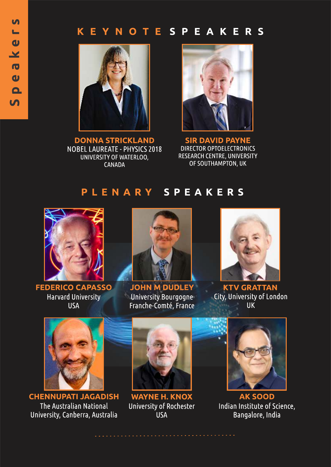#### K E **YNOTESPEAKERS**



**DONNA STRICKLAND NOBEL LAUREATE - PHYSICS 2018** UNIVERSITY OF WATERLOO, **CANADA** 



**SIR DAVID PAYNE DIRECTOR OPTOELECTRONICS RESEARCH CENTRE, UNIVERSITY** OF SOUTHAMPTON, UK

## PLENARY SPEAKERS



**FEDERICO CAPASSO Harvard University USA** 



**JOHN M DUDLEY** University Bourgogne Franche-Comté, France



**KTV GRATTAN** City, University of London **UK** 



**CHENNUPATI JAGADISH** The Australian National University, Canberra, Australia



**WAYNE H. KNOX** University of Rochester **USA** 



**AK SOOD** Indian Institute of Science, Bangalore, India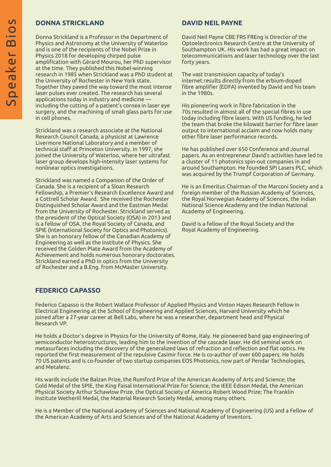#### **DONNA STRICKLAND**

Donna Strickland is a Professor in the Department of Physics and Astronomy at the University of Waterloo and is one of the recipients of the Nobel Prize in Physics 2018 for developing chirped pulse amplification with Gérard Mourou, her PhD supervisor at the time. They published this Nobel-winning research in 1985 when Strickland was a PhD student at the University of Rochester in New York state. Together they paved the way toward the most intense laser pulses ever created. The research has several applications today in industry and medicine  $\overline{\phantom{a}}$ including the cutting of a patient's cornea in laser eye surgery, and the machining of small glass parts for use in cell phones.

Strickland was a research associate at the National Research Council Canada, a physicist at Lawrence Livermore National Laboratory and a member of technical staff at Princeton University. In 1997, she joined the University of Waterloo, where her ultrafast laser group develops high-intensity laser systems for nonlinear optics investigations.

Strickland was named a Companion of the Order of Canada. She is a recipient of a Sloan Research Fellowship, a Premier's Research Excellence Award and a Cottrell Scholar Award. She received the Rochester Distinguished Scholar Award and the Eastman Medal from the University of Rochester. Strickland served as the president of the Optical Society (OSA) in 2013 and is a fellow of OSA, the Royal Society of Canada, and SPIE (International Society for Optics and Photonics). She is an honorary fellow of the Canadian Academy of Engineering as well as the Institute of Physics. She received the Golden Plate Award from the Academy of Achievement and holds numerous honorary doctorates. Strickland earned a PhD in optics from the University of Rochester and a B.Eng. from McMaster University.

#### **DAVID NEIL PAYNE**

David Neil Payne CBE FRS FREng is Director of the Optoelectronics Research Centre at the University of Southampton UK. His work has had a great impact on telecommunications and laser technology over the last forty years.

The vast transmission capacity of today's internet results directly from the erbium-doped fibre amplifier (EDFA) invented by David and his team in the 1980s.

His pioneering work in fibre fabrication in the 70s resulted in almost all of the special fibres in use today including fibre lasers. With US funding, he led the team that broke the kilowatt barrier for fibre laser output to international acclaim and now holds many other fibre laser performance records.

He has published over 650 Conference and Journal papers. As an entrepreneur David's activities have led to a cluster of 11 photonics spin-out companies in and around Southampton. He founded SPI Lasers PLC, which was acquired by the Trumpf Corporation of Germany.

He is an Emeritus Chairman of the Marconi Society and a foreign member of the Russian Academy of Sciences, the Royal Norwegian Academy of Sciences, the Indian National Science Academy and the Indian National Academy of Engineering.

David is a fellow of the Royal Society and the Royal Academy of Engineering.

#### **FEDERICO CAPASSO**

Federico Capasso is the Robert Wallace Professor of Applied Physics and Vinton Hayes Research Fellow in Electrical Engineering at the School of Engineering and Applied Sciences, Harvard University which he joined after a 27-year career at Bell Labs, where he was a researcher, department head and Physical Research VP.

He holds a Doctor's degree in Physics for the University of Rome, Italy. He pioneered band gap engineering of semiconductor heterostructures, leading him to the invention of the cascade laser. He did seminal work on metasurfaces including the discovery of the generalized laws of refraction and reflection and flat optics. He reported the first measurement of the repulsive Casimir force. He is co-author of over 600 papers. He holds 70 US patents and is co-founder of two startup companies EOS Photonics, now part of Pendar Technologies, and Metalenz.

His wards include the Balzan Prize, the Rumford Prize of the American Academy of Arts and Science; the Gold Medal of the SPIE, the King Faisal International Prize for Science, the IEEE Edison Medal, the American Physical Society Arthur Schawlow Prize, the Optical Society of America Robert Wood Prize; The Franklin Institute Wetherill Medal, the Material Research Society Medal, among many others.

He is a Member of the National academy of Sciences and National Academy of Engineering (US) and a Fellow of the American Academy of Arts and Sciences and of the National Academy of Inventors.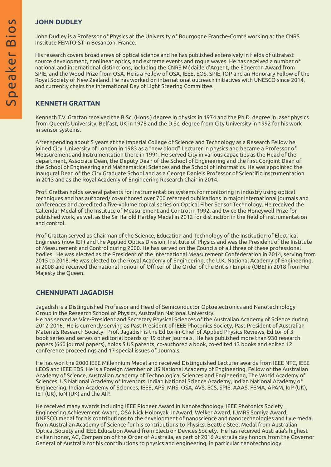#### **JOHN DUDLEY**

John Dudley is a Professor of Physics at the University of Bourgogne Franche-Comté working at the CNRS Institute FEMTO-ST in Besancon, France.

His research covers broad areas of optical science and he has published extensively in fields of ultrafast source development, nonlinear optics, and extreme events and rogue waves. He has received a number of national and international distinctions, including the CNRS Médaille d'Argent, the Edgerton Award from SPIE, and the Wood Prize from OSA. He is a Fellow of OSA, IEEE, EOS, SPIE, IOP and an Honorary Fellow of the Royal Society of New Zealand. He has worked on international outreach initiatives with UNESCO since 2014, and currently chairs the International Day of Light Steering Committee.

#### **KENNETH GRATTAN**

Kenneth T.V. Grattan received the B.Sc. (Hons.) degree in physics in 1974 and the Ph.D. degree in laser physics from Queen's University, Belfast, UK in 1978 and the D.Sc. degree from City University in 1992 for his work in sensor systems.

After spending about 5 years at the Imperial College of Science and Technology as a Research Fellow he joined City, University of London in 1983 as a "new blood" Lecturer in physics and became a Professor of Measurement and Instrumentation there in 1991. He served City in various capacities as the Head of the department, Associate Dean, the Deputy Dean of the School of Engineering and the first Conjoint Dean of the School of Engineering and Mathematical Sciences and the School of Informatics. He was appointed the Inaugural Dean of the City Graduate School and as a George Daniels Professor of Scientific Instrumentation in 2013 and as the Royal Academy of Engineering Research Chair in 2014.

Prof. Grattan holds several patents for instrumentation systems for monitoring in industry using optical techniques and has authored/ co-authored over 700 refereed publications in major international journals and conferences and co-edited a five-volume topical series on Optical Fiber Sensor Technology. He received the Callendar Medal of the Institute of Measurement and Control in 1992, and twice the Honeywell Prize for published work, as well as the Sir Harold Hartley Medal in 2012 for distinction in the field of instrumentation and control.

Prof Grattan served as Chairman of the Science, Education and Technology of the Institution of Electrical Engineers (now IET) and the Applied Optics Division, Institute of Physics and was the President of the Institute of Measurement and Control during 2000. He has served on the Councils of all three of these professional bodies. He was elected as the President of the International Measurement Confederation in 2014, serving from 2015 to 2018. He was elected to the Royal Academy of Engineering, the U.K. National Academy of Engineering, in 2008 and received the national honour of Officer of the Order of the British Empire (OBE) in 2018 from Her Majesty the Queen.

#### **CHENNUPATI JAGADISH**

Jagadish is a Distinguished Professor and Head of Semiconductor Optoelectronics and Nanotechnology Group in the Research School of Physics, Australian National University.

He has served as Vice-President and Secretary Physical Sciences of the Australian Academy of Science during 2012-2016. He is currently serving as Past President of IEEE Photonics Society, Past President of Australian Materials Research Society. Prof. Jagadish is the Editor-in-Chief of Applied Physics Reviews, Editor of 3 book series and serves on editorial boards of 19 other journals. He has published more than 930 research papers (660 journal papers), holds 5 US patents, co-authored a book, co-edited 13 books and edited 12 conference proceedings and 17 special issues of Journals.

He has won the 2000 IEEE Millennium Medal and received Distinguished Lecturer awards from IEEE NTC, IEEE LEOS and IEEE EDS. He is a Foreign Member of US National Academy of Engineering, Fellow of the Australian Academy of Science, Australian Academy of Technological Sciences and Engineering, The World Academy of Sciences, US National Academy of Inventors, Indian National Science Academy, Indian National Academy of Engineering, Indian Academy of Sciences, IEEE, APS, MRS, OSA, AVS, ECS, SPIE, AAAS, FEMA, APAM, IoP (UK), IET (UK), IoN (UK) and the AIP.

He received many awards including IEEE Pioneer Award in Nanotechnology, IEEE Photonics Society Engineering Achievement Award, OSA Nick Holonyak Jr Award, Welker Award, IUMRS Somiya Award, UNESCO medal for his contributions to the development of nanoscience and nanotechnologies and Lyle medal from Australian Academy of Science for his contributions to Physics, Beattie Steel Medal from Australian Optical Society and IEEE Education Award from Electron Devices Society. He has received Australia's highest civilian honor, AC, Companion of the Order of Australia, as part of 2016 Australia day honors from the Governor General of Australia for his contributions to physics and engineering, in particular nanotechnology.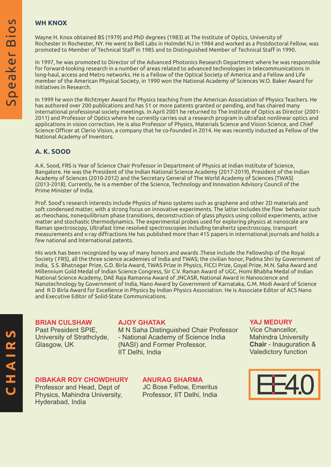#### **WH KNOX**

Wayne H. Knox obtained BS (1979) and PhD degrees (1983) at The Institute of Optics, University of Rochester in Rochester, NY. He went to Bell Labs in Holmdel NJ in 1984 and worked as a Postdoctoral Fellow, was promoted to Member of Technical Staff in 1985 and to Distinguished Member of Technical Staff in 1990.

In 1997, he was promoted to Director of the Advanced Photonics Research Department where he was responsible for forward-looking research in a number of areas related to advanced technologies in telecommunications in long-haul, access and Metro networks. He is a Fellow of the Optical Society of America and a Fellow and Life member of the American Physical Society, in 1990 won the National Academy of Sciences W.O. Baker Award for Initiatives in Research.

In 1999 he won the Richtmyer Award for Physics teaching from the American Association of Physics Teachers. He has authored over 200 publications and has 51 or more patents granted or pending, and has chaired many international professional society meetings. In April 2001 he returned to The Institute of Optics as Director (2001- 2011) and Professor of Optics where he currently carries out a research program in ultrafast nonlinear optics and applications in vision correction. He is also Professor of Physics, Materials Science and Vision Science, and Chief Science Officer at Clerio Vision, a company that he co-founded in 2014. He was recently inducted as Fellow of the National Academy of Inventors.

#### **A. K. SOOD**

A.K. Sood, FRS is Year of Science Chair Professor in Department of Physics at Indian Institute of Science, Bangalore. He was the President of the Indian National Science Academy (2017-2019), President of the Indian Academy of Sciences (2010-2012) and the Secretary General of The World Academy of Sciences (TWAS) (2013-2018). Currently, he is a member of the Science, Technology and Innovation Advisory Council of the Prime Minister of India.

Prof. Sood's research interests include Physics of Nano systems such as graphene and other 2D materials and soft condensed matter, with a strong focus on innovative experiments. The latter includes the flow behavior such as rheochaos, nonequilibrium phase transitions, deconstruction of glass physics using colloid experiments, active matter and stochastic thermodynamics. The experimental probes used for exploring physics at nanoscale are Raman spectroscopy, Ultrafast time resolved spectroscopies including terahertz spectroscopy, transport measurements and x-ray diffractions He has published more than 415 papers in international journals and holds a few national and International patents.

His work has been recognized by way of many honors and awards .These include the Fellowship of the Royal Society ( FRS), all the three science academies of India and TWAS; the civilian honor, Padma Shri by Government of India, S.S. Bhatnagar Prize, G.D. Birla Award, TWAS Prize in Physics, FICCI Prize, Goyal Prize, M.N. Saha Award and Millennium Gold Medal of Indian Science Congress, Sir C.V. Raman Award of UGC, Homi Bhabha Medal of Indian National Science Academy, DAE Raja Ramanna Award of JNCASR, National Award in Nanoscience and Nanotechnology by Government of India, Nano Award by Government of Karnataka, G.M. Modi Award of Science and R D Birla Award for Excellence in Physics by Indian Physics Association. He is Associate Editor of ACS Nano and Executive Editor of Solid-State Communications.

#### **BRIAN CULSHAW**

Past President SPIE, University of Strathclyde, Glasgow, UK

#### **AJOY GHATAK**

M N Saha Distinguished Chair Professor - National Academy of Science India (NASI) and Former Professor, IIT Delhi, India

#### **DIBAKAR ROY CHOWDHURY**

Professor and Head, Dept of Physics, Mahindra University, Hyderabad, India

### **ANURAG SHARMA**

JC Bose Fellow, Emeritus Professor, IIT Delhi, India

#### **YAJ MEDURY**

Vice Chancellor, Mahindra University **Chair** - Inauguration & Valedictory function

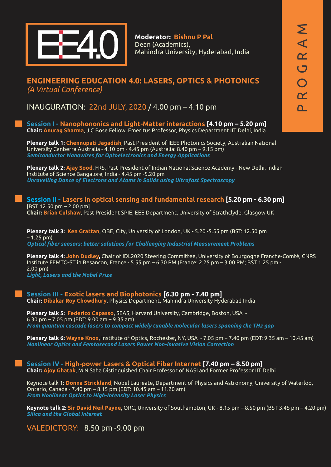

**Moderator: Bishnu P Pal** Dean (Academics), Mahindra University, Hyderabad, India

#### **ENGINEERING EDUCATION 4.0: LASERS, OPTICS & PHOTONICS** *(A Virtual Conference)*

INAUGURATION: 22nd JULY, 2020 / 4.00 pm – 4.10 pm

**Session I - Nanophononics and Light-Matter interactions [4.10 pm – 5.20 pm] Chair: Anurag Sharma**, J C Bose Fellow, Emeritus Professor, Physics Department IIT Delhi, India

**Plenary talk 1: Chennupati Jagadish**, Past President of IEEE Photonics Society, Australian National University Canberra Australia - 4.10 pm - 4.45 pm (Australia: 8.40 pm – 9.15 pm) *Semiconductor Nanowires for Optoelectronics and Energy Applications*

**Plenary talk 2: Ajay Sood**, FRS, Past President of Indian National Science Academy - New Delhi, Indian Institute of Science Bangalore, India - 4.45 pm -5.20 pm *Unravelling Dance of Electrons and Atoms in Solids using Ultrafast Spectroscopy*

**Session II - Lasers in optical sensing and fundamental research [5.20 pm - 6.30 pm]** [BST 12.50 pm – 2.00 pm] **Chair: Brian Culshaw**, Past President SPIE, EEE Department, University of Strathclyde, Glasgow UK

**Plenary talk 3: Ken Grattan**, OBE, City, University of London, UK - 5.20 -5.55 pm (BST: 12.50 pm – 1.25 pm) *Optical fiber sensors: better solutions for Challenging Industrial Measurement Problems*

**Plenary talk 4: John Dudley,** Chair of IDL2020 Steering Committee, University of Bourgogne Franche-Comté, CNRS Institute FEMTO-ST in Besancon, France - 5.55 pm – 6.30 PM (France: 2.25 pm – 3.00 PM; BST 1.25 pm - 2.00 pm)

*Light, Lasers and the Nobel Prize*

**Session III - Exotic lasers and Biophotonics [6.30 pm - 7.40 pm] Chair: Dibakar Roy Chowdhury**, Physics Department, Mahindra University Hyderabad India

**Plenary talk 5: Federico Capasso**, SEAS, Harvard University, Cambridge, Boston, USA - 6.30 pm – 7.05 pm (EDT: 9.00 am – 9.35 am) *From quantum cascade lasers to compact widely tunable molecular lasers spanning the THz gap* 

**Plenary talk 6: Wayne Knox**, Institute of Optics, Rochester, NY, USA - 7.05 pm – 7.40 pm (EDT: 9.35 am – 10.45 am) *Nonlinear Optics and Femtosecond Lasers Power Non-invasive Vision Correction*

**Session IV - High-power Lasers & Optical Fiber Internet [7.40 pm – 8.50 pm] Chair: Ajoy Ghatak**, M N Saha Distinguished Chair Professor of NASI and Former Professor IIT Delhi

Keynote talk 1: **Donna Strickland**, Nobel Laureate, Department of Physics and Astronomy, University of Waterloo, Ontario, Canada - 7.40 pm – 8.15 pm (EDT: 10.45 am – 11.20 am) *From Nonlinear Optics to High-Intensity Laser Physics*

**Keynote talk 2: Sir David Neil Payne**, ORC, University of Southampton, UK - 8.15 pm – 8.50 pm (BST 3.45 pm – 4.20 pm) *Silica and the Global Internet*

VALEDICTORY: 8.50 pm -9.00 pm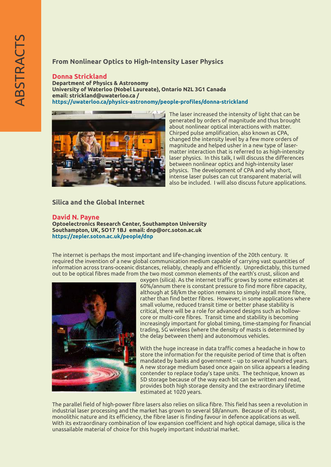#### **From Nonlinear Optics to High-Intensity Laser Physics**

#### **Donna Strickland**

**University of Waterloo (Nobel Laureate), Ontario N2L 3G1 Canada https://uwaterloo.ca/physics-astronomy/people-profiles/donna-strickland Department of Physics & Astronomy email: strickland@uwaterloo.ca /** 



The laser increased the intensity of light that can be generated by orders of magnitude and thus brought about nonlinear optical interactions with matter. Chirped pulse amplification, also known as CPA, changed the intensity level by a few more orders of magnitude and helped usher in a new type of lasermatter interaction that is referred to as high-intensity laser physics. In this talk, I will discuss the differences between nonlinear optics and high-intensity laser physics. The development of CPA and why short, intense laser pulses can cut transparent material will also be included. I will also discuss future applications.

#### **Silica and the Global Internet**

#### **David N. Payne**

**Optoelectronics Research Center, Southampton University Southampton, UK, SO17 1BJ email: dnp@orc.soton.ac.uk https://zepler.soton.ac.uk/people/dnp**

The internet is perhaps the most important and life-changing invention of the 20th century. It required the invention of a new global communication medium capable of carrying vast quantities of information across trans-oceanic distances, reliably, cheaply and efficiently. Unpredictably, this turned out to be optical fibres made from the two most common elements of the earth's crust, silicon and



oxygen (silica). As the internet traffic grows by some estimates at 60%/annum there is constant pressure to find more fibre capacity, although at \$8/km the option remains to simply install more fibre, rather than find better fibres. However, in some applications where small volume, reduced transit time or better phase stability is critical, there will be a role for advanced designs such as hollowcore or multi-core fibres. Transit time and stability is becoming increasingly important for global timing, time-stamping for financial trading, 5G wireless (where the density of masts is determined by the delay between them) and autonomous vehicles.

With the huge increase in data traffic comes a headache in how to store the information for the requisite period of time that is often mandated by banks and government – up to several hundred years. A new storage medium based once again on silica appears a leading contender to replace today's tape units. The technique, known as 5D storage because of the way each bit can be written and read, provides both high storage density and the extraordinary lifetime estimated at 1020 years.

The parallel field of high-power fibre lasers also relies on silica fibre. This field has seen a revolution in industrial laser processing and the market has grown to several \$B/annum. Because of its robust, monolithic nature and its efficiency, the fibre laser is finding favour in defence applications as well. With its extraordinary combination of low expansion coefficient and high optical damage, silica is the unassailable material of choice for this hugely important industrial market.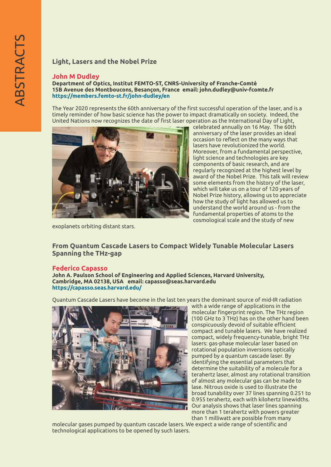#### **Light, Lasers and the Nobel Prize**

#### **John M Dudley**

**Department of Optics, Institut FEMTO-ST, CNRS-University of Franche-Comté 15B Avenue des Montboucons, Besançon, France email: john.dudley@univ-fcomte.fr https://members.femto-st.fr/john-dudley/en**

The Year 2020 represents the 60th anniversary of the first successful operation of the laser, and is a timely reminder of how basic science has the power to impact dramatically on society. Indeed, the United Nations now recognizes the date of first laser operation as the International Day of Light,



celebrated annually on 16 May. The 60th anniversary of the laser provides an ideal occasion to reflect on the many ways that lasers have revolutionized the world. Moreover, from a fundamental perspective, light science and technologies are key components of basic research, and are regularly recognized at the highest level by award of the Nobel Prize. This talk will review some elements from the history of the laser, which will take us on a tour of 120 years of Nobel Prize history, allowing us to appreciate how the study of light has allowed us to understand the world around us - from the fundamental properties of atoms to the cosmological scale and the study of new

exoplanets orbiting distant stars.

**From Quantum Cascade Lasers to Compact Widely Tunable Molecular Lasers Spanning the THz-gap** 

#### **Federico Capasso**

**Cambridge, MA 02138, USA email: capasso@seas.harvard.edu John A. Paulson School of Engineering and Applied Sciences, Harvard University, https://capasso.seas.harvard.edu/**

Quantum Cascade Lasers have become in the last ten years the dominant source of mid-IR radiation



with a wide range of applications in the molecular fingerprint region. The THz region (100 GHz to 3 THz) has on the other hand been conspicuously devoid of suitable efficient compact and tunable lasers. We have realized compact, widely frequency-tunable, bright THz lasers: gas-phase molecular laser based on rotational population inversions optically pumped by a quantum cascade laser. By identifying the essential parameters that determine the suitability of a molecule for a terahertz laser, almost any rotational transition of almost any molecular gas can be made to lase. Nitrous oxide is used to illustrate the broad tunability over 37 lines spanning 0.251 to 0.955 terahertz, each with kilohertz linewidths. Our analysis shows that laser lines spanning more than 1 terahertz with powers greater than 1 milliwatt are possible from many

molecular gases pumped by quantum cascade lasers. We expect a wide range of scientific and technological applications to be opened by such lasers.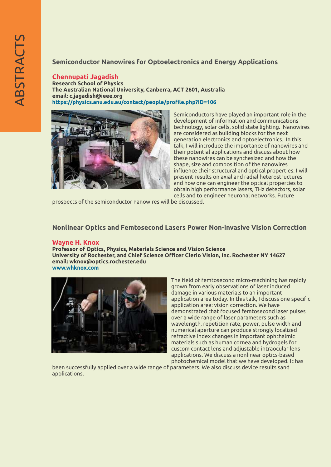#### **Semiconductor Nanowires for Optoelectronics and Energy Applications**

#### **Chennupati Jagadish**

**https://physics.anu.edu.au/contact/people/profile.php?ID=106 The Australian National University, Canberra, ACT 2601, Australia Research School of Physics email: c.jagadish@ieee.org**



Semiconductors have played an important role in the development of information and communications technology, solar cells, solid state lighting. Nanowires are considered as building blocks for the next generation electronics and optoelectronics. In this talk, I will introduce the importance of nanowires and their potential applications and discuss about how these nanowires can be synthesized and how the shape, size and composition of the nanowires influence their structural and optical properties. I will present results on axial and radial heterostructures and how one can engineer the optical properties to obtain high performance lasers, THz detectors, solar cells and to engineer neuronal networks. Future

prospects of the semiconductor nanowires will be discussed.

#### **Nonlinear Optics and Femtosecond Lasers Power Non-invasive Vision Correction**

#### **Wayne H. Knox**

**University of Rochester, and Chief Science Officer Clerio Vision, Inc. Rochester NY 14627 Professor of Optics, Physics, Materials Science and Vision Science www.whknox.com email: wknox@optics.rochester.edu** 



The field of femtosecond micro-machining has rapidly grown from early observations of laser induced damage in various materials to an important application area today. In this talk, I discuss one specific application area: vision correction. We have demonstrated that focused femtosecond laser pulses over a wide range of laser parameters such as wavelength, repetition rate, power, pulse width and numerical aperture can produce strongly localized refractive index changes in important ophthalmic materials such as human cornea and hydrogels for custom contact lens and adjustable intraocular lens applications. We discuss a nonlinear optics-based photochemical model that we have developed. It has

been successfully applied over a wide range of parameters. We also discuss device results sand applications.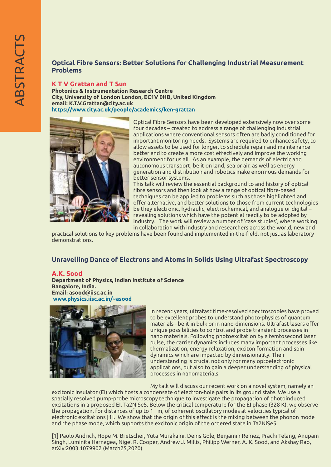#### **Optical Fibre Sensors: Better Solutions for Challenging Industrial Measurement Problems**

#### **K T V Grattan and T Sun**

**Photonics & Instrumentation Research Centre email: K.T.V.Grattan@city.ac.uk https://www.city.ac.uk/people/academics/ken-grattan City, University of London London, EC1V 0HB, United Kingdom**



Optical Fibre Sensors have been developed extensively now over some four decades – created to address a range of challenging industrial applications where conventional sensors often are badly conditioned for important monitoring needs. Systems are required to enhance safety, to allow assets to be used for longer, to schedule repair and maintenance better and to create a more cost effectively and improve the working environment for us all. As an example, the demands of electric and autonomous transport, be it on land, sea or air, as well as energy generation and distribution and robotics make enormous demands for better sensor systems.

This talk will review the essential background to and history of optical fibre sensors and then look at how a range of optical fibre-based techniques can be applied to problems such as those highlighted and offer alternative, and better solutions to those from current technologies be they electronic, hydraulic, electrochemical, and analogue or digital – revealing solutions which have the potential readily to be adopted by industry. The work will review a number of 'case studies', where working in collaboration with industry and researchers across the world, new and

practical solutions to key problems have been found and implemented in-the-field, not just as laboratory demonstrations.

#### **Unravelling Dance of Electrons and Atoms in Solids Using Ultrafast Spectroscopy**

#### **A.K. Sood**

**Department of Physics, Indian Institute of Science Email: asood@iisc.ac.in www.physics.iisc.ac.in/~asood Bangalore, India.** 



In recent years, ultrafast time-resolved spectroscopies have proved to be excellent probes to understand photo-physics of quantum materials - be it in bulk or in nano-dimensions. Ultrafast lasers offer unique possibilities to control and probe transient processes in nano materials. Following photoexcitation by a femtosecond laser pulse, the carrier dynamics includes many important processes like thermalization, energy relaxation, exciton formation and spin dynamics which are impacted by dimensionality. Their understanding is crucial not only for many optoelectronic applications, but also to gain a deeper understanding of physical processes in nanomaterials.

My talk will discuss our recent work on a novel system, namely an

excitonic insulator (EI) which hosts a condensate of electron-hole pairs in its ground state. We use a spatially resolved pump-probe microscopy technique to investigate the propagation of photoinduced excitations in a proposed EI, Ta2NiSe5. Below the critical temperature for the EI phase (328 K), we observe the propagation, for distances of up to 1 m, of coherent oscillatory modes at velocities typical of electronic excitations [1]. We show that the origin of this effect is the mixing between the phonon mode and the phase mode, which supports the excitonic origin of the ordered state in Ta2NiSe5.

[1] Paolo Andrich, Hope M. Bretscher, Yuta Murakami, Denis Gole, Benjamin Remez, Prachi Telang, Anupam Singh, Luminita Harnagea, Nigel R. Cooper, Andrew J. Millis, Philipp Werner, A. K. Sood, and Akshay Rao, arXiv:2003.1079902 (March25,2020)